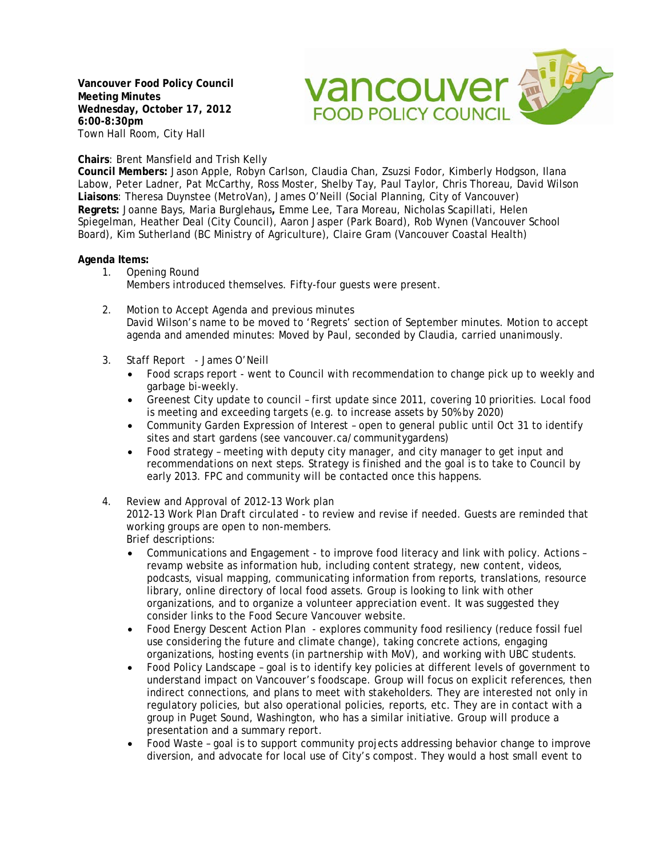**Vancouver Food Policy Council Meeting Minutes Wednesday, October 17, 2012 6:00-8:30pm** Town Hall Room, City Hall



## **Chairs**: Brent Mansfield and Trish Kelly

**Council Members:** Jason Apple, Robyn Carlson, Claudia Chan, Zsuzsi Fodor, Kimberly Hodgson, Ilana Labow, Peter Ladner, Pat McCarthy, Ross Moster, Shelby Tay, Paul Taylor, Chris Thoreau, David Wilson **Liaisons**: Theresa Duynstee (MetroVan), James O'Neill (Social Planning, City of Vancouver) **Regrets:** Joanne Bays, Maria Burglehaus**,** Emme Lee, Tara Moreau, Nicholas Scapillati, Helen Spiegelman, Heather Deal (City Council), Aaron Jasper (Park Board), Rob Wynen (Vancouver School Board), Kim Sutherland (BC Ministry of Agriculture), Claire Gram (Vancouver Coastal Health)

## **Agenda Items:**

- 1. Opening Round Members introduced themselves. Fifty-four guests were present.
- 2. Motion to Accept Agenda and previous minutes David Wilson's name to be moved to 'Regrets' section of September minutes. Motion to accept agenda and amended minutes: Moved by Paul, seconded by Claudia, carried unanimously.
- 3. Staff Report James O'Neill
	- Food scraps report went to Council with recommendation to change pick up to weekly and garbage bi-weekly.
	- Greenest City update to council first update since 2011, covering 10 priorities. Local food is meeting and exceeding targets (e.g. to increase assets by 50% by 2020)
	- Community Garden Expression of Interest open to general public until Oct 31 to identify sites and start gardens (see vancouver.ca/communitygardens)
	- Food strategy meeting with deputy city manager, and city manager to get input and recommendations on next steps. Strategy is finished and the goal is to take to Council by early 2013. FPC and community will be contacted once this happens.
- 4. Review and Approval of 2012-13 Work plan

*2012-13 Work Plan Draft circulated* - to review and revise if needed. Guests are reminded that working groups are open to non-members.

Brief descriptions:

- Communications and Engagement to improve food literacy and link with policy. Actions revamp website as information hub, including content strategy, new content, videos, podcasts, visual mapping, communicating information from reports, translations, resource library, online directory of local food assets. Group is looking to link with other organizations, and to organize a volunteer appreciation event. It was suggested they consider links to the Food Secure Vancouver website.
- Food Energy Descent Action Plan explores community food resiliency (reduce fossil fuel use considering the future and climate change), taking concrete actions, engaging organizations, hosting events (in partnership with MoV), and working with UBC students.
- Food Policy Landscape goal is to identify key policies at different levels of government to understand impact on Vancouver's foodscape. Group will focus on explicit references, then indirect connections, and plans to meet with stakeholders. They are interested not only in regulatory policies, but also operational policies, reports, etc. They are in contact with a group in Puget Sound, Washington, who has a similar initiative. Group will produce a presentation and a summary report.
- Food Waste goal is to support community projects addressing behavior change to improve diversion, and advocate for local use of City's compost. They would a host small event to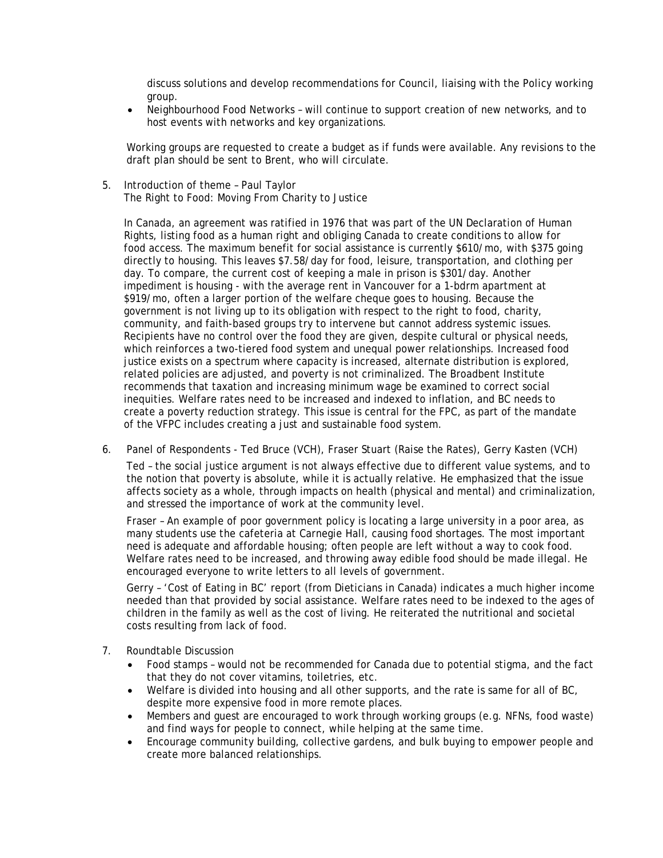discuss solutions and develop recommendations for Council, liaising with the Policy working group.

• Neighbourhood Food Networks – will continue to support creation of new networks, and to host events with networks and key organizations.

Working groups are requested to create a budget as if funds were available. Any revisions to the draft plan should be sent to Brent, who will circulate.

5. Introduction of theme – Paul Taylor The Right to Food: Moving From Charity to Justice

In Canada, an agreement was ratified in 1976 that was part of the UN Declaration of Human Rights, listing food as a human right and obliging Canada to create conditions to allow for food access. The maximum benefit for social assistance is currently \$610/mo, with \$375 going directly to housing. This leaves \$7.58/day for food, leisure, transportation, and clothing per day. To compare, the current cost of keeping a male in prison is \$301/day. Another impediment is housing - with the average rent in Vancouver for a 1-bdrm apartment at \$919/mo, often a larger portion of the welfare cheque goes to housing. Because the government is not living up to its obligation with respect to the right to food, charity, community, and faith-based groups try to intervene but cannot address systemic issues. Recipients have no control over the food they are given, despite cultural or physical needs, which reinforces a two-tiered food system and unequal power relationships. Increased food justice exists on a spectrum where capacity is increased, alternate distribution is explored, related policies are adjusted, and poverty is not criminalized. The Broadbent Institute recommends that taxation and increasing minimum wage be examined to correct social inequities. Welfare rates need to be increased and indexed to inflation, and BC needs to create a poverty reduction strategy. This issue is central for the FPC, as part of the mandate of the VFPC includes creating a *just* and sustainable food system.

6. Panel of Respondents - Ted Bruce (VCH), Fraser Stuart (Raise the Rates), Gerry Kasten (VCH)

Ted – the social justice argument is not always effective due to different value systems, and to the notion that poverty is absolute, while it is actually relative. He emphasized that the issue affects society as a whole, through impacts on health (physical and mental) and criminalization, and stressed the importance of work at the community level.

Fraser – An example of poor government policy is locating a large university in a poor area, as many students use the cafeteria at Carnegie Hall, causing food shortages. The most important need is adequate and affordable housing; often people are left without a way to cook food. Welfare rates need to be increased, and throwing away edible food should be made illegal. He encouraged everyone to write letters to all levels of government.

Gerry – 'Cost of Eating in BC' report (from Dieticians in Canada) indicates a much higher income needed than that provided by social assistance. Welfare rates need to be indexed to the ages of children in the family as well as the cost of living. He reiterated the nutritional and societal costs resulting from lack of food.

- 7. Roundtable Discussion
	- Food stamps would not be recommended for Canada due to potential stigma, and the fact that they do not cover vitamins, toiletries, etc.
	- Welfare is divided into housing and all other supports, and the rate is same for all of BC, despite more expensive food in more remote places.
	- Members and guest are encouraged to work through working groups (e.g. NFNs, food waste) and find ways for people to connect, while helping at the same time.
	- Encourage community building, collective gardens, and bulk buying to empower people and create more balanced relationships.